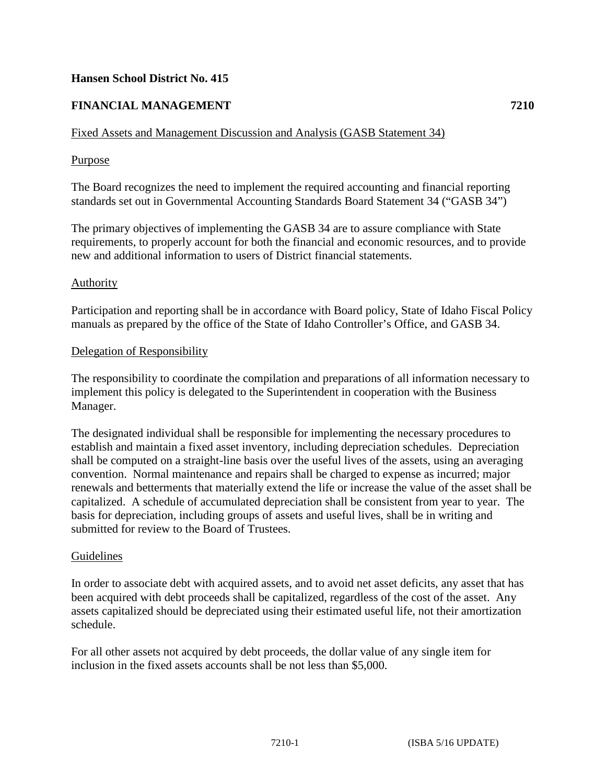# **Hansen School District No. 415**

# **FINANCIAL MANAGEMENT 7210**

# Fixed Assets and Management Discussion and Analysis (GASB Statement 34)

# Purpose

The Board recognizes the need to implement the required accounting and financial reporting standards set out in Governmental Accounting Standards Board Statement 34 ("GASB 34")

The primary objectives of implementing the GASB 34 are to assure compliance with State requirements, to properly account for both the financial and economic resources, and to provide new and additional information to users of District financial statements.

### Authority

Participation and reporting shall be in accordance with Board policy, State of Idaho Fiscal Policy manuals as prepared by the office of the State of Idaho Controller's Office, and GASB 34.

### Delegation of Responsibility

The responsibility to coordinate the compilation and preparations of all information necessary to implement this policy is delegated to the Superintendent in cooperation with the Business Manager.

The designated individual shall be responsible for implementing the necessary procedures to establish and maintain a fixed asset inventory, including depreciation schedules. Depreciation shall be computed on a straight-line basis over the useful lives of the assets, using an averaging convention. Normal maintenance and repairs shall be charged to expense as incurred; major renewals and betterments that materially extend the life or increase the value of the asset shall be capitalized. A schedule of accumulated depreciation shall be consistent from year to year. The basis for depreciation, including groups of assets and useful lives, shall be in writing and submitted for review to the Board of Trustees.

### Guidelines

In order to associate debt with acquired assets, and to avoid net asset deficits, any asset that has been acquired with debt proceeds shall be capitalized, regardless of the cost of the asset. Any assets capitalized should be depreciated using their estimated useful life, not their amortization schedule.

For all other assets not acquired by debt proceeds, the dollar value of any single item for inclusion in the fixed assets accounts shall be not less than \$5,000.